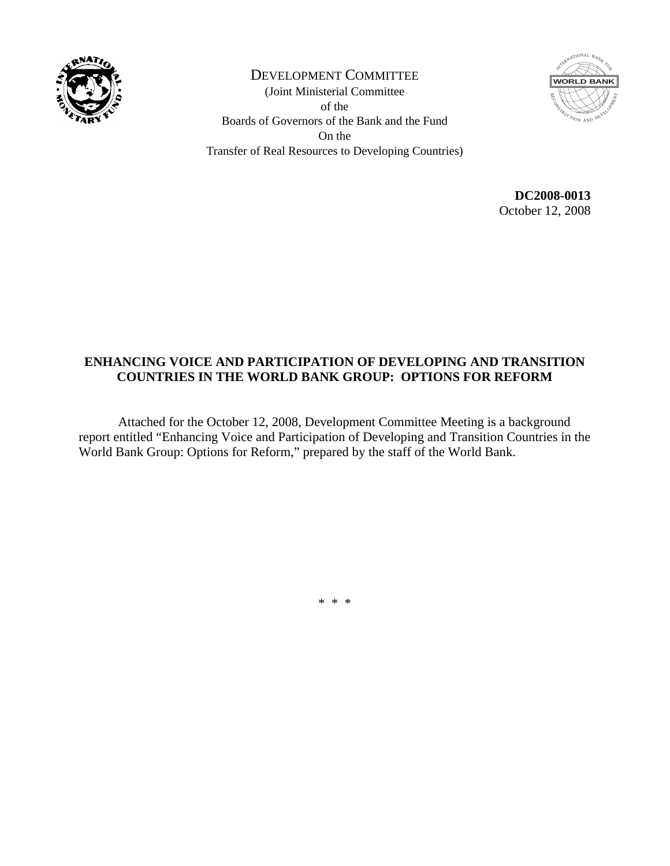

DEVELOPMENT COMMITTEE (Joint Ministerial Committee of the Boards of Governors of the Bank and the Fund On the Transfer of Real Resources to Developing Countries)



**DC2008-0013**  October 12, 2008

## **ENHANCING VOICE AND PARTICIPATION OF DEVELOPING AND TRANSITION COUNTRIES IN THE WORLD BANK GROUP: OPTIONS FOR REFORM**

 Attached for the October 12, 2008, Development Committee Meeting is a background report entitled "Enhancing Voice and Participation of Developing and Transition Countries in the World Bank Group: Options for Reform," prepared by the staff of the World Bank.

\* \* \*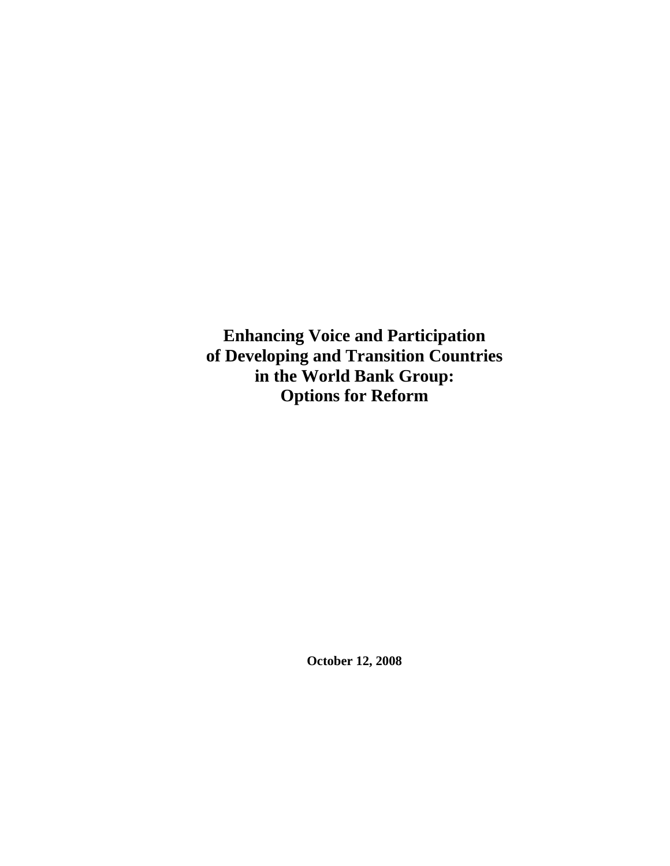**Enhancing Voice and Participation of Developing and Transition Countries in the World Bank Group: Options for Reform** 

**October 12, 2008**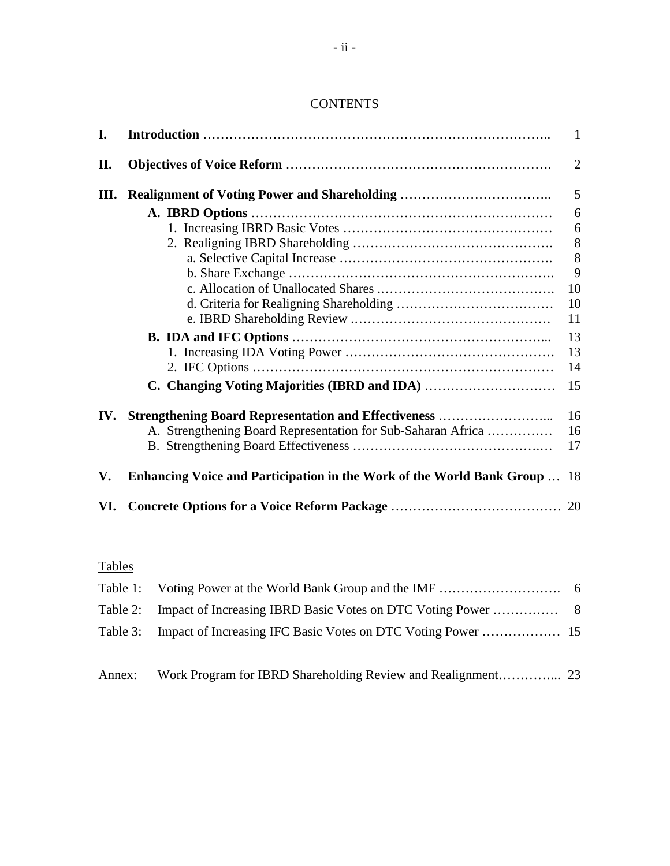## **CONTENTS**

| I.   |                                                                           | $\mathbf{1}$   |
|------|---------------------------------------------------------------------------|----------------|
| II.  |                                                                           | $\overline{2}$ |
| III. |                                                                           | 5              |
|      |                                                                           | 6              |
|      |                                                                           | 6              |
|      |                                                                           | $\,8\,$        |
|      |                                                                           | 8              |
|      |                                                                           | 9              |
|      |                                                                           | 10             |
|      |                                                                           | 10             |
|      |                                                                           | 11             |
|      |                                                                           | 13             |
|      |                                                                           | 13             |
|      |                                                                           | 14             |
|      | C. Changing Voting Majorities (IBRD and IDA)                              | 15             |
| IV.  | <b>Strengthening Board Representation and Effectiveness </b>              | 16             |
|      | A. Strengthening Board Representation for Sub-Saharan Africa              | 16             |
|      |                                                                           | 17             |
| V.   | Enhancing Voice and Participation in the Work of the World Bank Group  18 |                |
| VI.  |                                                                           |                |

# Tables

Annex: Work Program for IBRD Shareholding Review and Realignment…………... 23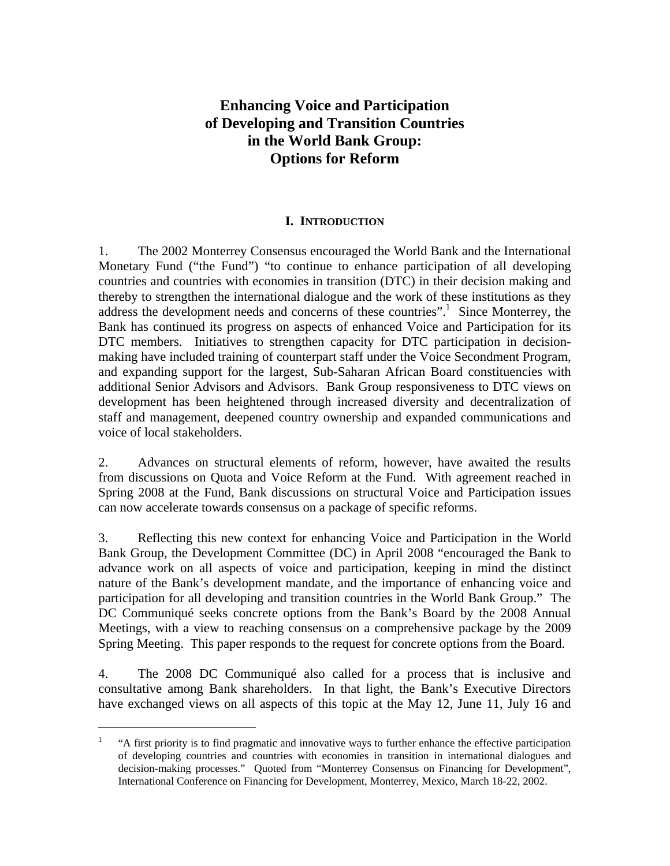## **Enhancing Voice and Participation of Developing and Transition Countries in the World Bank Group: Options for Reform**

#### **I. INTRODUCTION**

1. The 2002 Monterrey Consensus encouraged the World Bank and the International Monetary Fund ("the Fund") "to continue to enhance participation of all developing countries and countries with economies in transition (DTC) in their decision making and thereby to strengthen the international dialogue and the work of these institutions as they address the development needs and concerns of these countries".<sup>1</sup> Since Monterrey, the Bank has continued its progress on aspects of enhanced Voice and Participation for its DTC members. Initiatives to strengthen capacity for DTC participation in decisionmaking have included training of counterpart staff under the Voice Secondment Program, and expanding support for the largest, Sub-Saharan African Board constituencies with additional Senior Advisors and Advisors. Bank Group responsiveness to DTC views on development has been heightened through increased diversity and decentralization of staff and management, deepened country ownership and expanded communications and voice of local stakeholders.

2. Advances on structural elements of reform, however, have awaited the results from discussions on Quota and Voice Reform at the Fund. With agreement reached in Spring 2008 at the Fund, Bank discussions on structural Voice and Participation issues can now accelerate towards consensus on a package of specific reforms.

3. Reflecting this new context for enhancing Voice and Participation in the World Bank Group, the Development Committee (DC) in April 2008 "encouraged the Bank to advance work on all aspects of voice and participation, keeping in mind the distinct nature of the Bank's development mandate, and the importance of enhancing voice and participation for all developing and transition countries in the World Bank Group." The DC Communiqué seeks concrete options from the Bank's Board by the 2008 Annual Meetings, with a view to reaching consensus on a comprehensive package by the 2009 Spring Meeting. This paper responds to the request for concrete options from the Board.

4. The 2008 DC Communiqué also called for a process that is inclusive and consultative among Bank shareholders. In that light, the Bank's Executive Directors have exchanged views on all aspects of this topic at the May 12, June 11, July 16 and

 $\overline{a}$ 

<sup>1</sup> "A first priority is to find pragmatic and innovative ways to further enhance the effective participation of developing countries and countries with economies in transition in international dialogues and decision-making processes." Quoted from "Monterrey Consensus on Financing for Development", International Conference on Financing for Development, Monterrey, Mexico, March 18-22, 2002.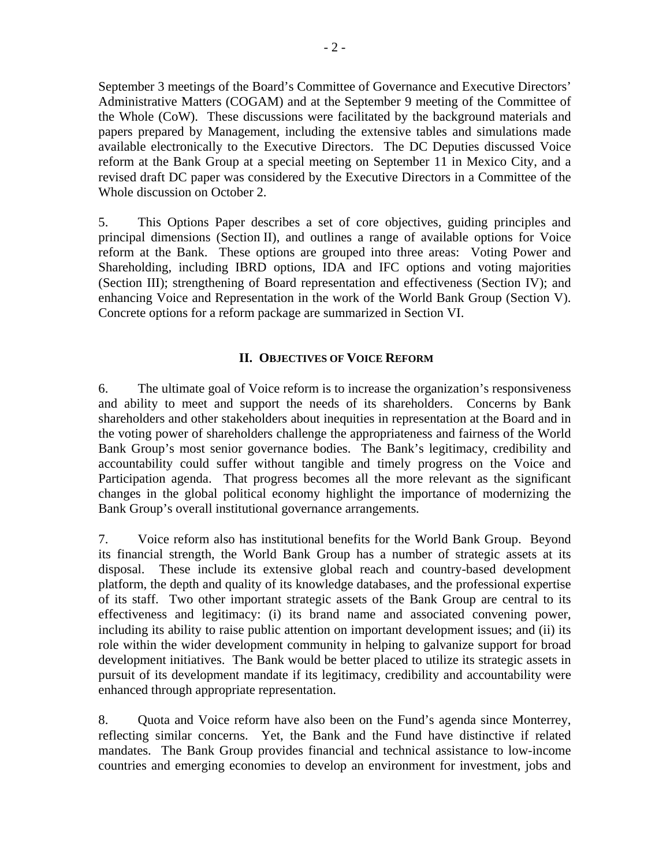September 3 meetings of the Board's Committee of Governance and Executive Directors' Administrative Matters (COGAM) and at the September 9 meeting of the Committee of the Whole (CoW). These discussions were facilitated by the background materials and papers prepared by Management, including the extensive tables and simulations made available electronically to the Executive Directors. The DC Deputies discussed Voice reform at the Bank Group at a special meeting on September 11 in Mexico City, and a revised draft DC paper was considered by the Executive Directors in a Committee of the Whole discussion on October 2.

5. This Options Paper describes a set of core objectives, guiding principles and principal dimensions (Section II), and outlines a range of available options for Voice reform at the Bank. These options are grouped into three areas: Voting Power and Shareholding, including IBRD options, IDA and IFC options and voting majorities (Section III); strengthening of Board representation and effectiveness (Section IV); and enhancing Voice and Representation in the work of the World Bank Group (Section V). Concrete options for a reform package are summarized in Section VI.

## **II. OBJECTIVES OF VOICE REFORM**

6. The ultimate goal of Voice reform is to increase the organization's responsiveness and ability to meet and support the needs of its shareholders. Concerns by Bank shareholders and other stakeholders about inequities in representation at the Board and in the voting power of shareholders challenge the appropriateness and fairness of the World Bank Group's most senior governance bodies. The Bank's legitimacy, credibility and accountability could suffer without tangible and timely progress on the Voice and Participation agenda. That progress becomes all the more relevant as the significant changes in the global political economy highlight the importance of modernizing the Bank Group's overall institutional governance arrangements.

7. Voice reform also has institutional benefits for the World Bank Group. Beyond its financial strength, the World Bank Group has a number of strategic assets at its disposal. These include its extensive global reach and country-based development platform, the depth and quality of its knowledge databases, and the professional expertise of its staff. Two other important strategic assets of the Bank Group are central to its effectiveness and legitimacy: (i) its brand name and associated convening power, including its ability to raise public attention on important development issues; and (ii) its role within the wider development community in helping to galvanize support for broad development initiatives. The Bank would be better placed to utilize its strategic assets in pursuit of its development mandate if its legitimacy, credibility and accountability were enhanced through appropriate representation.

8. Quota and Voice reform have also been on the Fund's agenda since Monterrey, reflecting similar concerns. Yet, the Bank and the Fund have distinctive if related mandates. The Bank Group provides financial and technical assistance to low-income countries and emerging economies to develop an environment for investment, jobs and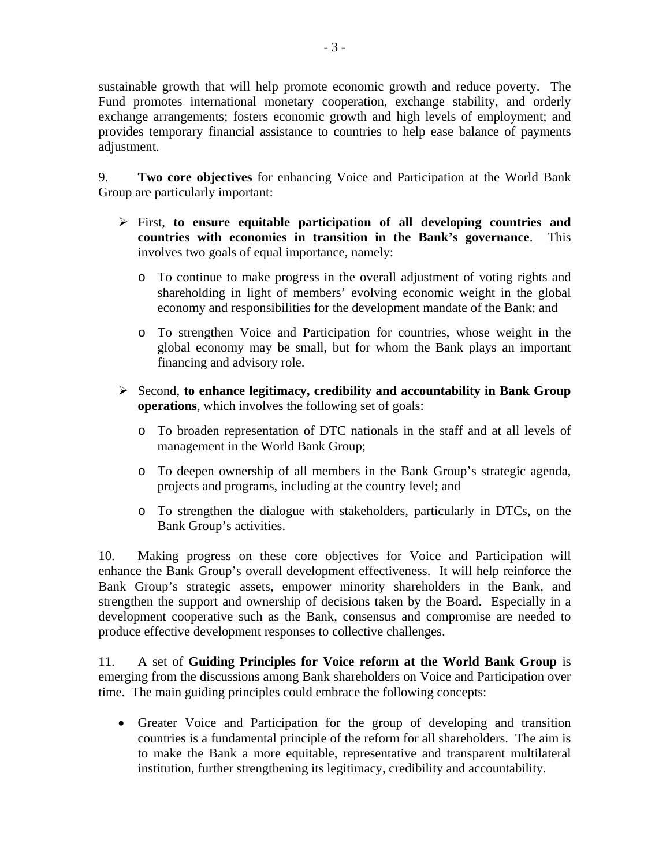sustainable growth that will help promote economic growth and reduce poverty. The Fund promotes international monetary cooperation, exchange stability, and orderly exchange arrangements; fosters economic growth and high levels of employment; and provides temporary financial assistance to countries to help ease balance of payments adjustment.

9. **Two core objectives** for enhancing Voice and Participation at the World Bank Group are particularly important:

- ¾ First, **to ensure equitable participation of all developing countries and countries with economies in transition in the Bank's governance**. This involves two goals of equal importance, namely:
	- o To continue to make progress in the overall adjustment of voting rights and shareholding in light of members' evolving economic weight in the global economy and responsibilities for the development mandate of the Bank; and
	- o To strengthen Voice and Participation for countries, whose weight in the global economy may be small, but for whom the Bank plays an important financing and advisory role.
- ¾ Second, **to enhance legitimacy, credibility and accountability in Bank Group operations**, which involves the following set of goals:
	- o To broaden representation of DTC nationals in the staff and at all levels of management in the World Bank Group;
	- o To deepen ownership of all members in the Bank Group's strategic agenda, projects and programs, including at the country level; and
	- o To strengthen the dialogue with stakeholders, particularly in DTCs, on the Bank Group's activities.

10. Making progress on these core objectives for Voice and Participation will enhance the Bank Group's overall development effectiveness. It will help reinforce the Bank Group's strategic assets, empower minority shareholders in the Bank, and strengthen the support and ownership of decisions taken by the Board. Especially in a development cooperative such as the Bank, consensus and compromise are needed to produce effective development responses to collective challenges.

11. A set of **Guiding Principles for Voice reform at the World Bank Group** is emerging from the discussions among Bank shareholders on Voice and Participation over time. The main guiding principles could embrace the following concepts:

• Greater Voice and Participation for the group of developing and transition countries is a fundamental principle of the reform for all shareholders. The aim is to make the Bank a more equitable, representative and transparent multilateral institution, further strengthening its legitimacy, credibility and accountability.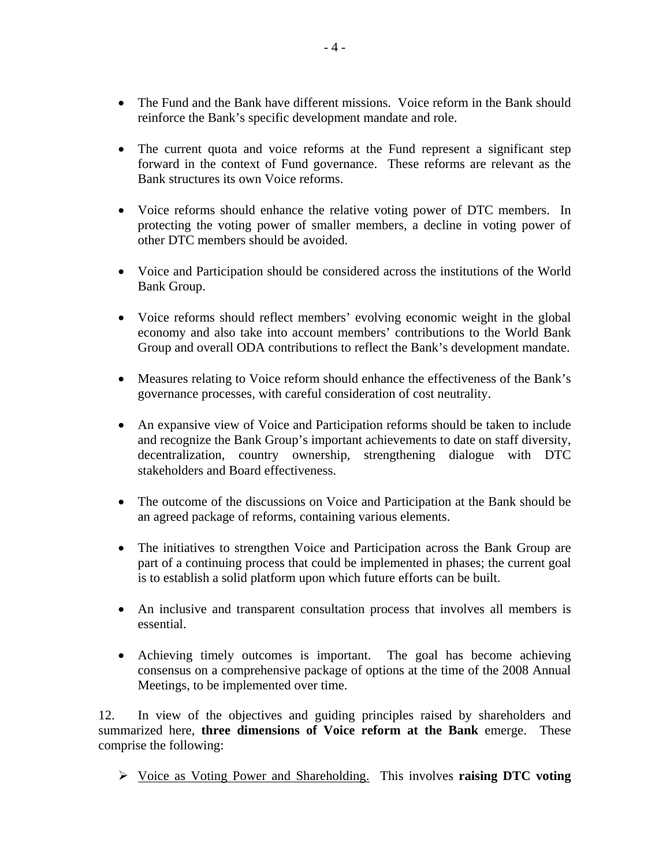- The Fund and the Bank have different missions. Voice reform in the Bank should reinforce the Bank's specific development mandate and role.
- The current quota and voice reforms at the Fund represent a significant step forward in the context of Fund governance. These reforms are relevant as the Bank structures its own Voice reforms.
- Voice reforms should enhance the relative voting power of DTC members. In protecting the voting power of smaller members, a decline in voting power of other DTC members should be avoided.
- Voice and Participation should be considered across the institutions of the World Bank Group.
- Voice reforms should reflect members' evolving economic weight in the global economy and also take into account members' contributions to the World Bank Group and overall ODA contributions to reflect the Bank's development mandate.
- Measures relating to Voice reform should enhance the effectiveness of the Bank's governance processes, with careful consideration of cost neutrality.
- An expansive view of Voice and Participation reforms should be taken to include and recognize the Bank Group's important achievements to date on staff diversity, decentralization, country ownership, strengthening dialogue with DTC stakeholders and Board effectiveness.
- The outcome of the discussions on Voice and Participation at the Bank should be an agreed package of reforms, containing various elements.
- The initiatives to strengthen Voice and Participation across the Bank Group are part of a continuing process that could be implemented in phases; the current goal is to establish a solid platform upon which future efforts can be built.
- An inclusive and transparent consultation process that involves all members is essential.
- Achieving timely outcomes is important. The goal has become achieving consensus on a comprehensive package of options at the time of the 2008 Annual Meetings, to be implemented over time.

12. In view of the objectives and guiding principles raised by shareholders and summarized here, **three dimensions of Voice reform at the Bank** emerge. These comprise the following:

¾ Voice as Voting Power and Shareholding. This involves **raising DTC voting**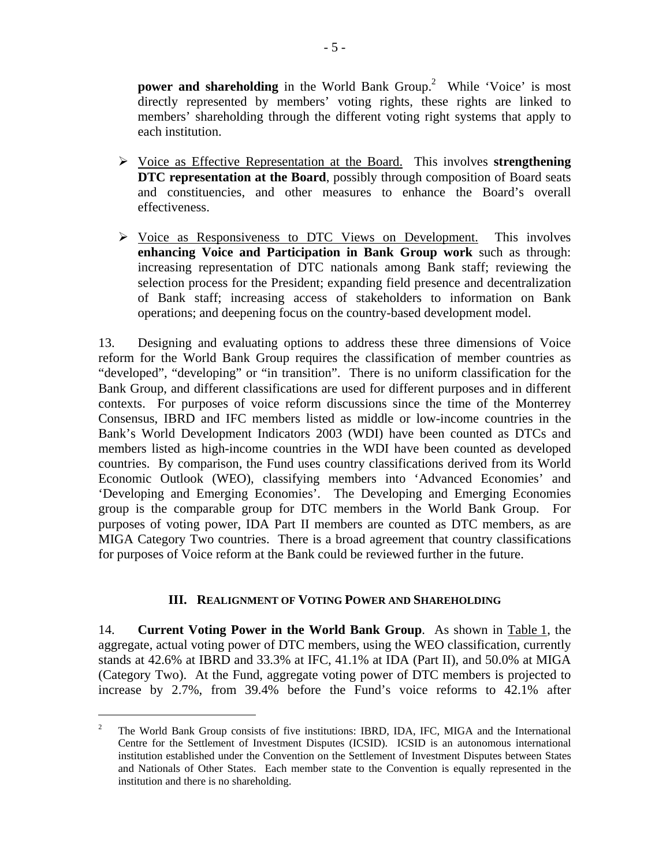**power and shareholding** in the World Bank Group.<sup>2</sup> While 'Voice' is most directly represented by members' voting rights, these rights are linked to members' shareholding through the different voting right systems that apply to each institution.

- ¾ Voice as Effective Representation at the Board. This involves **strengthening DTC representation at the Board**, possibly through composition of Board seats and constituencies, and other measures to enhance the Board's overall effectiveness.
- ¾ Voice as Responsiveness to DTC Views on Development. This involves **enhancing Voice and Participation in Bank Group work** such as through: increasing representation of DTC nationals among Bank staff; reviewing the selection process for the President; expanding field presence and decentralization of Bank staff; increasing access of stakeholders to information on Bank operations; and deepening focus on the country-based development model.

13. Designing and evaluating options to address these three dimensions of Voice reform for the World Bank Group requires the classification of member countries as "developed", "developing" or "in transition". There is no uniform classification for the Bank Group, and different classifications are used for different purposes and in different contexts. For purposes of voice reform discussions since the time of the Monterrey Consensus, IBRD and IFC members listed as middle or low-income countries in the Bank's World Development Indicators 2003 (WDI) have been counted as DTCs and members listed as high-income countries in the WDI have been counted as developed countries. By comparison, the Fund uses country classifications derived from its World Economic Outlook (WEO), classifying members into 'Advanced Economies' and 'Developing and Emerging Economies'. The Developing and Emerging Economies group is the comparable group for DTC members in the World Bank Group. For purposes of voting power, IDA Part II members are counted as DTC members, as are MIGA Category Two countries. There is a broad agreement that country classifications for purposes of Voice reform at the Bank could be reviewed further in the future.

## **III. REALIGNMENT OF VOTING POWER AND SHAREHOLDING**

14. **Current Voting Power in the World Bank Group**. As shown in Table 1, the aggregate, actual voting power of DTC members, using the WEO classification, currently stands at 42.6% at IBRD and 33.3% at IFC, 41.1% at IDA (Part II), and 50.0% at MIGA (Category Two). At the Fund, aggregate voting power of DTC members is projected to increase by 2.7%, from 39.4% before the Fund's voice reforms to 42.1% after

1

<sup>2</sup> The World Bank Group consists of five institutions: IBRD, IDA, IFC, MIGA and the International Centre for the Settlement of Investment Disputes (ICSID). ICSID is an autonomous international institution established under the Convention on the Settlement of Investment Disputes between States and Nationals of Other States. Each member state to the Convention is equally represented in the institution and there is no shareholding.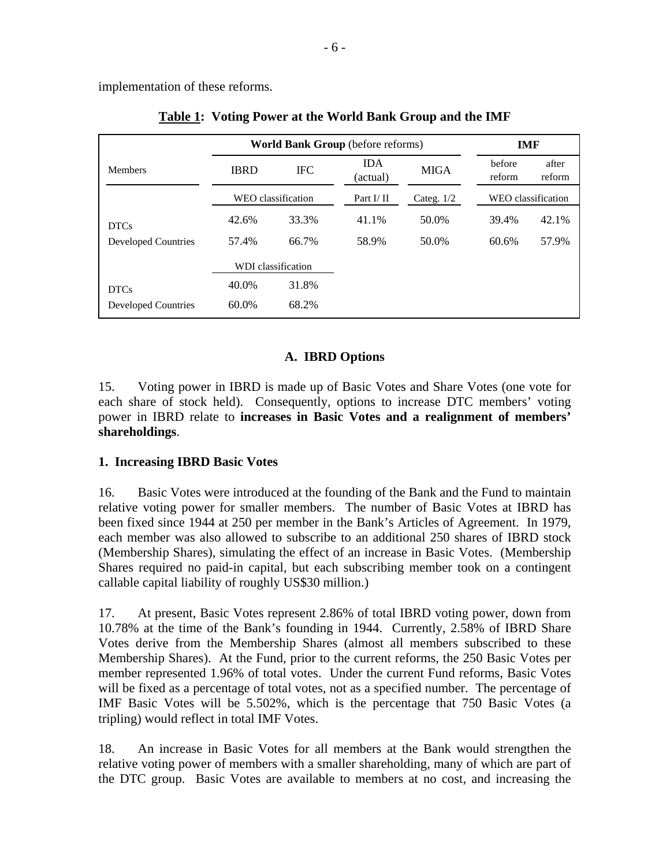implementation of these reforms.

|                            | <b>World Bank Group</b> (before reforms) | <b>IMF</b>         |                        |              |                    |                 |
|----------------------------|------------------------------------------|--------------------|------------------------|--------------|--------------------|-----------------|
| <b>Members</b>             | <b>IBRD</b>                              | <b>IFC</b>         | <b>IDA</b><br>(actual) | <b>MIGA</b>  | hefore<br>reform   | after<br>reform |
|                            |                                          | WEO classification | Part $I/II$            | Categ. $1/2$ | WEO classification |                 |
| <b>DTCs</b>                | 42.6%                                    | 33.3%              | 41.1%                  | 50.0%        | 39.4%              | 42.1%           |
| <b>Developed Countries</b> | 57.4%                                    | 66.7%              | 58.9%                  | 50.0%        | 60.6%              | 57.9%           |
|                            |                                          | WDI classification |                        |              |                    |                 |
| <b>DTCs</b>                | 40.0%                                    | 31.8%              |                        |              |                    |                 |
| <b>Developed Countries</b> | 60.0%                                    | 68.2%              |                        |              |                    |                 |

| <b>Table 1: Voting Power at the World Bank Group and the IMF</b> |  |  |  |  |  |
|------------------------------------------------------------------|--|--|--|--|--|
|                                                                  |  |  |  |  |  |

## **A. IBRD Options**

15. Voting power in IBRD is made up of Basic Votes and Share Votes (one vote for each share of stock held). Consequently, options to increase DTC members' voting power in IBRD relate to **increases in Basic Votes and a realignment of members' shareholdings**.

## **1. Increasing IBRD Basic Votes**

16. Basic Votes were introduced at the founding of the Bank and the Fund to maintain relative voting power for smaller members. The number of Basic Votes at IBRD has been fixed since 1944 at 250 per member in the Bank's Articles of Agreement. In 1979, each member was also allowed to subscribe to an additional 250 shares of IBRD stock (Membership Shares), simulating the effect of an increase in Basic Votes. (Membership Shares required no paid-in capital, but each subscribing member took on a contingent callable capital liability of roughly US\$30 million.)

17. At present, Basic Votes represent 2.86% of total IBRD voting power, down from 10.78% at the time of the Bank's founding in 1944. Currently, 2.58% of IBRD Share Votes derive from the Membership Shares (almost all members subscribed to these Membership Shares). At the Fund, prior to the current reforms, the 250 Basic Votes per member represented 1.96% of total votes. Under the current Fund reforms, Basic Votes will be fixed as a percentage of total votes, not as a specified number. The percentage of IMF Basic Votes will be 5.502%, which is the percentage that 750 Basic Votes (a tripling) would reflect in total IMF Votes.

18. An increase in Basic Votes for all members at the Bank would strengthen the relative voting power of members with a smaller shareholding, many of which are part of the DTC group. Basic Votes are available to members at no cost, and increasing the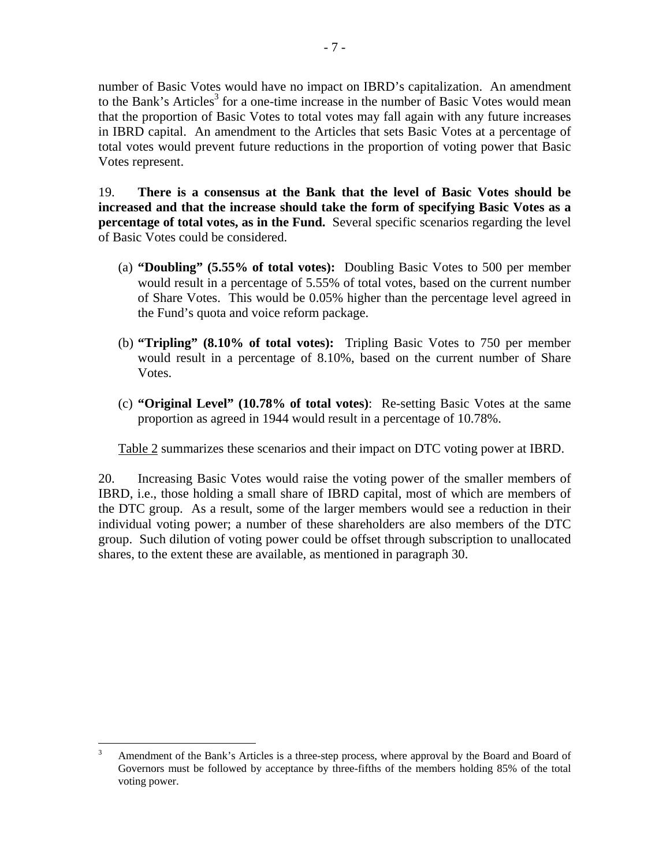number of Basic Votes would have no impact on IBRD's capitalization. An amendment to the Bank's Articles<sup>3</sup> for a one-time increase in the number of Basic Votes would mean that the proportion of Basic Votes to total votes may fall again with any future increases in IBRD capital. An amendment to the Articles that sets Basic Votes at a percentage of total votes would prevent future reductions in the proportion of voting power that Basic Votes represent.

19. **There is a consensus at the Bank that the level of Basic Votes should be increased and that the increase should take the form of specifying Basic Votes as a percentage of total votes, as in the Fund.** Several specific scenarios regarding the level of Basic Votes could be considered.

- (a) **"Doubling" (5.55% of total votes):** Doubling Basic Votes to 500 per member would result in a percentage of 5.55% of total votes, based on the current number of Share Votes. This would be 0.05% higher than the percentage level agreed in the Fund's quota and voice reform package.
- (b) **"Tripling" (8.10% of total votes):** Tripling Basic Votes to 750 per member would result in a percentage of 8.10%, based on the current number of Share Votes.
- (c) **"Original Level" (10.78% of total votes)**: Re-setting Basic Votes at the same proportion as agreed in 1944 would result in a percentage of 10.78%.

Table 2 summarizes these scenarios and their impact on DTC voting power at IBRD.

20. Increasing Basic Votes would raise the voting power of the smaller members of IBRD, i.e., those holding a small share of IBRD capital, most of which are members of the DTC group. As a result, some of the larger members would see a reduction in their individual voting power; a number of these shareholders are also members of the DTC group. Such dilution of voting power could be offset through subscription to unallocated shares, to the extent these are available, as mentioned in paragraph 30.

<sup>&</sup>lt;sup>2</sup><br>3 Amendment of the Bank's Articles is a three-step process, where approval by the Board and Board of Governors must be followed by acceptance by three-fifths of the members holding 85% of the total voting power.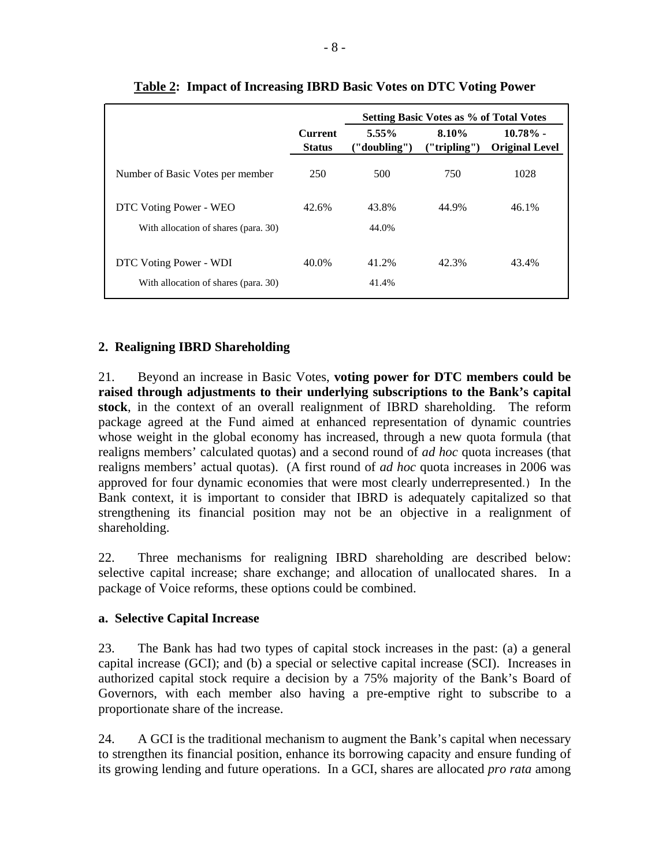|                                      | Setting Basic Votes as % of Total Votes |                          |                         |                                      |
|--------------------------------------|-----------------------------------------|--------------------------|-------------------------|--------------------------------------|
|                                      | <b>Current</b><br><b>Status</b>         | $5.55\%$<br>("doubling") | 8.10%<br>(''tripling'') | $10.78\%$ -<br><b>Original Level</b> |
| Number of Basic Votes per member     | 250                                     | 500                      | 750                     | 1028                                 |
| DTC Voting Power - WEO               | 42.6%                                   | 43.8%                    | 44.9%                   | 46.1%                                |
| With allocation of shares (para. 30) |                                         | 44.0%                    |                         |                                      |
| DTC Voting Power - WDI               | 40.0%                                   | 41.2%                    | 42.3%                   | 43.4%                                |
| With allocation of shares (para. 30) |                                         | 41.4%                    |                         |                                      |

**Table 2: Impact of Increasing IBRD Basic Votes on DTC Voting Power** 

## **2. Realigning IBRD Shareholding**

21. Beyond an increase in Basic Votes, **voting power for DTC members could be raised through adjustments to their underlying subscriptions to the Bank's capital stock**, in the context of an overall realignment of IBRD shareholding. The reform package agreed at the Fund aimed at enhanced representation of dynamic countries whose weight in the global economy has increased, through a new quota formula (that realigns members' calculated quotas) and a second round of *ad hoc* quota increases (that realigns members' actual quotas). (A first round of *ad hoc* quota increases in 2006 was approved for four dynamic economies that were most clearly underrepresented.) In the Bank context, it is important to consider that IBRD is adequately capitalized so that strengthening its financial position may not be an objective in a realignment of shareholding.

22. Three mechanisms for realigning IBRD shareholding are described below: selective capital increase; share exchange; and allocation of unallocated shares. In a package of Voice reforms, these options could be combined.

#### **a. Selective Capital Increase**

23. The Bank has had two types of capital stock increases in the past: (a) a general capital increase (GCI); and (b) a special or selective capital increase (SCI). Increases in authorized capital stock require a decision by a 75% majority of the Bank's Board of Governors, with each member also having a pre-emptive right to subscribe to a proportionate share of the increase.

24. A GCI is the traditional mechanism to augment the Bank's capital when necessary to strengthen its financial position, enhance its borrowing capacity and ensure funding of its growing lending and future operations. In a GCI, shares are allocated *pro rata* among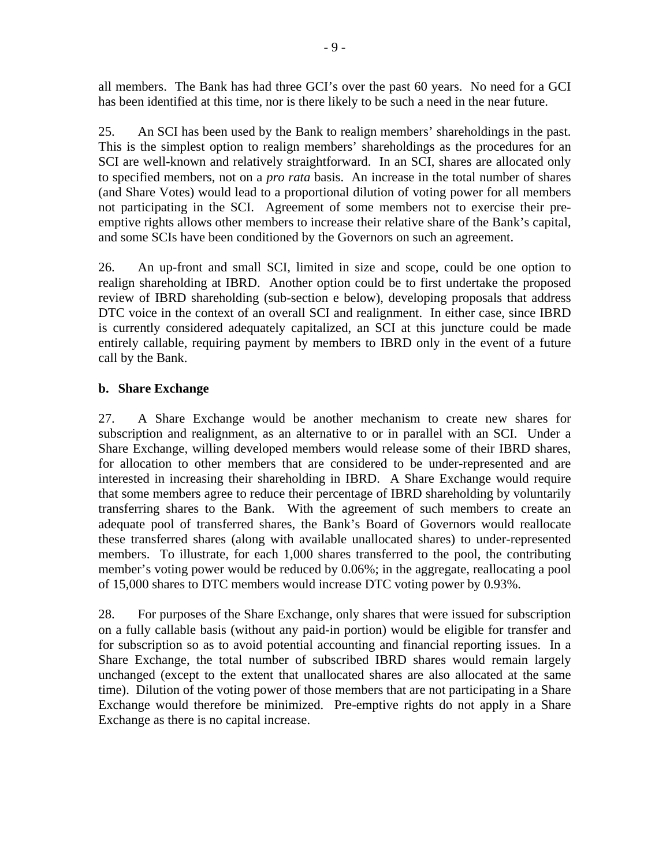all members. The Bank has had three GCI's over the past 60 years. No need for a GCI has been identified at this time, nor is there likely to be such a need in the near future.

25. An SCI has been used by the Bank to realign members' shareholdings in the past. This is the simplest option to realign members' shareholdings as the procedures for an SCI are well-known and relatively straightforward. In an SCI, shares are allocated only to specified members, not on a *pro rata* basis. An increase in the total number of shares (and Share Votes) would lead to a proportional dilution of voting power for all members not participating in the SCI. Agreement of some members not to exercise their preemptive rights allows other members to increase their relative share of the Bank's capital, and some SCIs have been conditioned by the Governors on such an agreement.

26. An up-front and small SCI, limited in size and scope, could be one option to realign shareholding at IBRD. Another option could be to first undertake the proposed review of IBRD shareholding (sub-section e below), developing proposals that address DTC voice in the context of an overall SCI and realignment. In either case, since IBRD is currently considered adequately capitalized, an SCI at this juncture could be made entirely callable, requiring payment by members to IBRD only in the event of a future call by the Bank.

#### **b. Share Exchange**

27. A Share Exchange would be another mechanism to create new shares for subscription and realignment, as an alternative to or in parallel with an SCI. Under a Share Exchange, willing developed members would release some of their IBRD shares, for allocation to other members that are considered to be under-represented and are interested in increasing their shareholding in IBRD. A Share Exchange would require that some members agree to reduce their percentage of IBRD shareholding by voluntarily transferring shares to the Bank. With the agreement of such members to create an adequate pool of transferred shares, the Bank's Board of Governors would reallocate these transferred shares (along with available unallocated shares) to under-represented members. To illustrate, for each 1,000 shares transferred to the pool, the contributing member's voting power would be reduced by 0.06%; in the aggregate, reallocating a pool of 15,000 shares to DTC members would increase DTC voting power by 0.93%.

28. For purposes of the Share Exchange, only shares that were issued for subscription on a fully callable basis (without any paid-in portion) would be eligible for transfer and for subscription so as to avoid potential accounting and financial reporting issues. In a Share Exchange, the total number of subscribed IBRD shares would remain largely unchanged (except to the extent that unallocated shares are also allocated at the same time). Dilution of the voting power of those members that are not participating in a Share Exchange would therefore be minimized. Pre-emptive rights do not apply in a Share Exchange as there is no capital increase.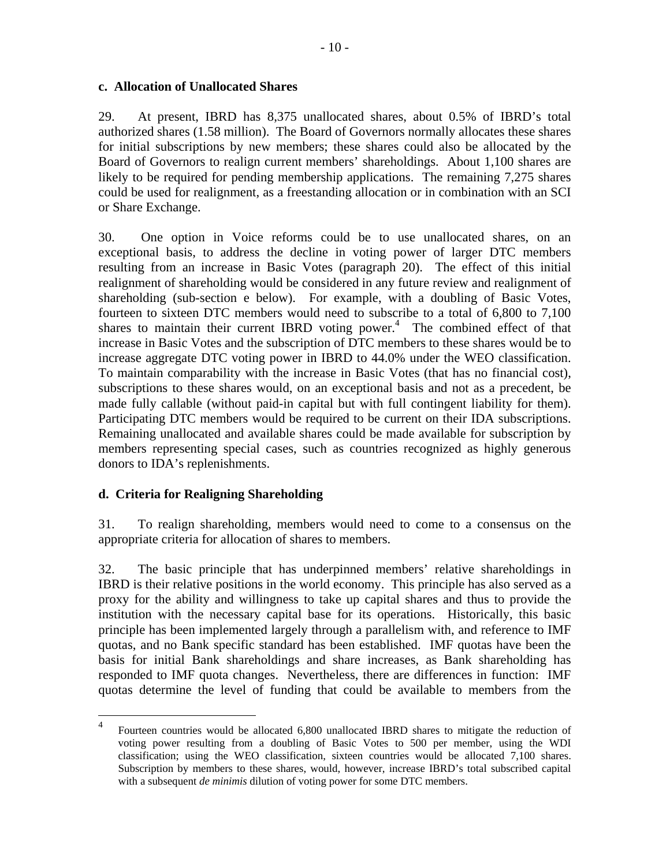#### **c. Allocation of Unallocated Shares**

29. At present, IBRD has 8,375 unallocated shares, about 0.5% of IBRD's total authorized shares (1.58 million). The Board of Governors normally allocates these shares for initial subscriptions by new members; these shares could also be allocated by the Board of Governors to realign current members' shareholdings. About 1,100 shares are likely to be required for pending membership applications. The remaining 7,275 shares could be used for realignment, as a freestanding allocation or in combination with an SCI or Share Exchange.

30. One option in Voice reforms could be to use unallocated shares, on an exceptional basis, to address the decline in voting power of larger DTC members resulting from an increase in Basic Votes (paragraph 20). The effect of this initial realignment of shareholding would be considered in any future review and realignment of shareholding (sub-section e below). For example, with a doubling of Basic Votes, fourteen to sixteen DTC members would need to subscribe to a total of 6,800 to 7,100 shares to maintain their current IBRD voting power. $<sup>4</sup>$  The combined effect of that</sup> increase in Basic Votes and the subscription of DTC members to these shares would be to increase aggregate DTC voting power in IBRD to 44.0% under the WEO classification. To maintain comparability with the increase in Basic Votes (that has no financial cost), subscriptions to these shares would, on an exceptional basis and not as a precedent, be made fully callable (without paid-in capital but with full contingent liability for them). Participating DTC members would be required to be current on their IDA subscriptions. Remaining unallocated and available shares could be made available for subscription by members representing special cases, such as countries recognized as highly generous donors to IDA's replenishments.

## **d. Criteria for Realigning Shareholding**

31. To realign shareholding, members would need to come to a consensus on the appropriate criteria for allocation of shares to members.

32. The basic principle that has underpinned members' relative shareholdings in IBRD is their relative positions in the world economy. This principle has also served as a proxy for the ability and willingness to take up capital shares and thus to provide the institution with the necessary capital base for its operations. Historically, this basic principle has been implemented largely through a parallelism with, and reference to IMF quotas, and no Bank specific standard has been established. IMF quotas have been the basis for initial Bank shareholdings and share increases, as Bank shareholding has responded to IMF quota changes. Nevertheless, there are differences in function: IMF quotas determine the level of funding that could be available to members from the

 $\frac{1}{4}$  Fourteen countries would be allocated 6,800 unallocated IBRD shares to mitigate the reduction of voting power resulting from a doubling of Basic Votes to 500 per member, using the WDI classification; using the WEO classification, sixteen countries would be allocated 7,100 shares. Subscription by members to these shares, would, however, increase IBRD's total subscribed capital with a subsequent *de minimis* dilution of voting power for some DTC members.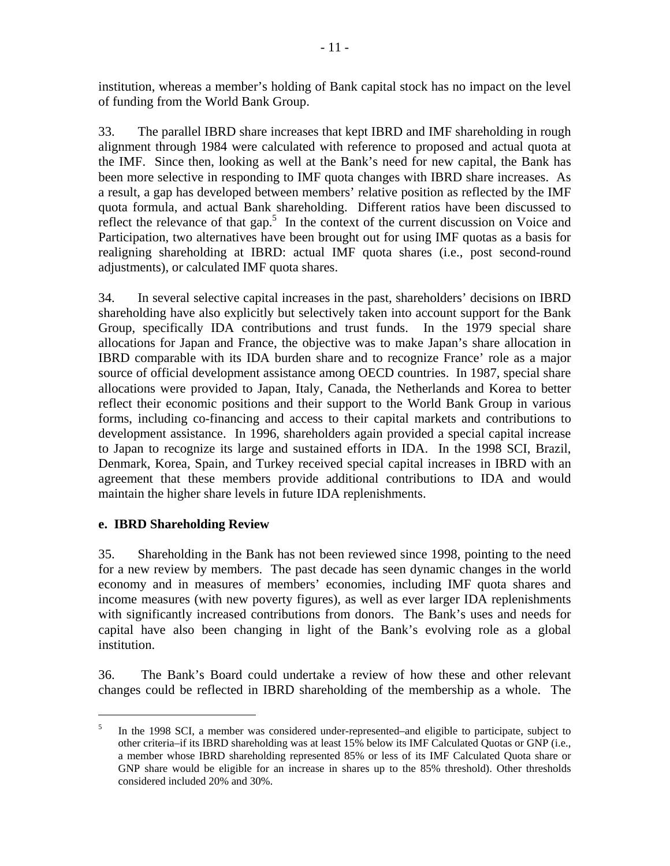institution, whereas a member's holding of Bank capital stock has no impact on the level of funding from the World Bank Group.

33. The parallel IBRD share increases that kept IBRD and IMF shareholding in rough alignment through 1984 were calculated with reference to proposed and actual quota at the IMF. Since then, looking as well at the Bank's need for new capital, the Bank has been more selective in responding to IMF quota changes with IBRD share increases. As a result, a gap has developed between members' relative position as reflected by the IMF quota formula, and actual Bank shareholding. Different ratios have been discussed to reflect the relevance of that gap.<sup>5</sup> In the context of the current discussion on Voice and Participation, two alternatives have been brought out for using IMF quotas as a basis for realigning shareholding at IBRD: actual IMF quota shares (i.e., post second-round adjustments), or calculated IMF quota shares.

34. In several selective capital increases in the past, shareholders' decisions on IBRD shareholding have also explicitly but selectively taken into account support for the Bank Group, specifically IDA contributions and trust funds. In the 1979 special share allocations for Japan and France, the objective was to make Japan's share allocation in IBRD comparable with its IDA burden share and to recognize France' role as a major source of official development assistance among OECD countries. In 1987, special share allocations were provided to Japan, Italy, Canada, the Netherlands and Korea to better reflect their economic positions and their support to the World Bank Group in various forms, including co-financing and access to their capital markets and contributions to development assistance. In 1996, shareholders again provided a special capital increase to Japan to recognize its large and sustained efforts in IDA. In the 1998 SCI, Brazil, Denmark, Korea, Spain, and Turkey received special capital increases in IBRD with an agreement that these members provide additional contributions to IDA and would maintain the higher share levels in future IDA replenishments.

## **e. IBRD Shareholding Review**

 $\overline{a}$ 

35. Shareholding in the Bank has not been reviewed since 1998, pointing to the need for a new review by members. The past decade has seen dynamic changes in the world economy and in measures of members' economies, including IMF quota shares and income measures (with new poverty figures), as well as ever larger IDA replenishments with significantly increased contributions from donors. The Bank's uses and needs for capital have also been changing in light of the Bank's evolving role as a global institution.

36. The Bank's Board could undertake a review of how these and other relevant changes could be reflected in IBRD shareholding of the membership as a whole. The

<sup>5</sup> In the 1998 SCI, a member was considered under-represented–and eligible to participate, subject to other criteria–if its IBRD shareholding was at least 15% below its IMF Calculated Quotas or GNP (i.e., a member whose IBRD shareholding represented 85% or less of its IMF Calculated Quota share or GNP share would be eligible for an increase in shares up to the 85% threshold). Other thresholds considered included 20% and 30%.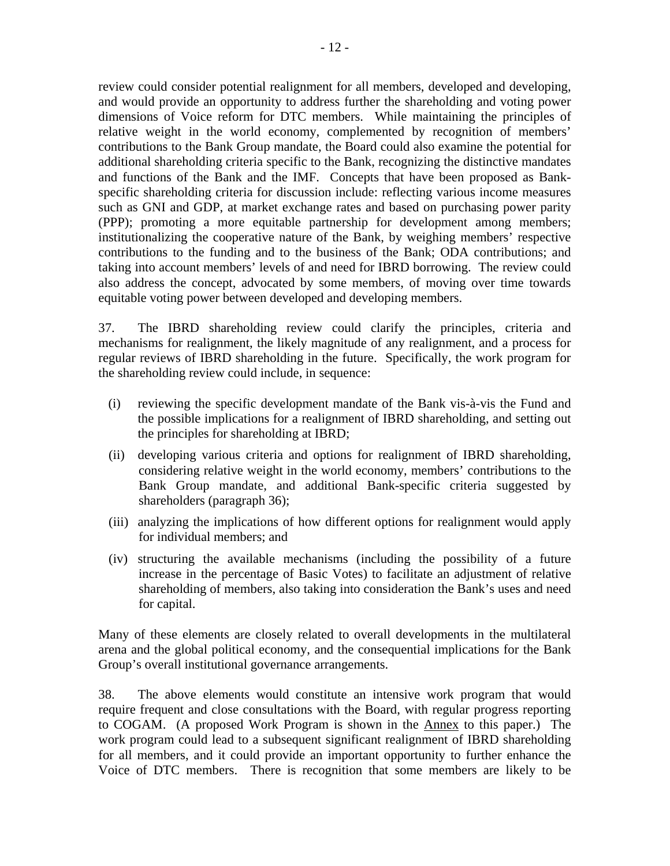review could consider potential realignment for all members, developed and developing, and would provide an opportunity to address further the shareholding and voting power dimensions of Voice reform for DTC members. While maintaining the principles of relative weight in the world economy, complemented by recognition of members' contributions to the Bank Group mandate, the Board could also examine the potential for additional shareholding criteria specific to the Bank, recognizing the distinctive mandates and functions of the Bank and the IMF. Concepts that have been proposed as Bankspecific shareholding criteria for discussion include: reflecting various income measures such as GNI and GDP, at market exchange rates and based on purchasing power parity (PPP); promoting a more equitable partnership for development among members; institutionalizing the cooperative nature of the Bank, by weighing members' respective contributions to the funding and to the business of the Bank; ODA contributions; and taking into account members' levels of and need for IBRD borrowing. The review could also address the concept, advocated by some members, of moving over time towards equitable voting power between developed and developing members.

37. The IBRD shareholding review could clarify the principles, criteria and mechanisms for realignment, the likely magnitude of any realignment, and a process for regular reviews of IBRD shareholding in the future. Specifically, the work program for the shareholding review could include, in sequence:

- (i) reviewing the specific development mandate of the Bank vis-à-vis the Fund and the possible implications for a realignment of IBRD shareholding, and setting out the principles for shareholding at IBRD;
- (ii) developing various criteria and options for realignment of IBRD shareholding, considering relative weight in the world economy, members' contributions to the Bank Group mandate, and additional Bank-specific criteria suggested by shareholders (paragraph 36);
- (iii) analyzing the implications of how different options for realignment would apply for individual members; and
- (iv) structuring the available mechanisms (including the possibility of a future increase in the percentage of Basic Votes) to facilitate an adjustment of relative shareholding of members, also taking into consideration the Bank's uses and need for capital.

Many of these elements are closely related to overall developments in the multilateral arena and the global political economy, and the consequential implications for the Bank Group's overall institutional governance arrangements.

38. The above elements would constitute an intensive work program that would require frequent and close consultations with the Board, with regular progress reporting to COGAM. (A proposed Work Program is shown in the Annex to this paper.) The work program could lead to a subsequent significant realignment of IBRD shareholding for all members, and it could provide an important opportunity to further enhance the Voice of DTC members. There is recognition that some members are likely to be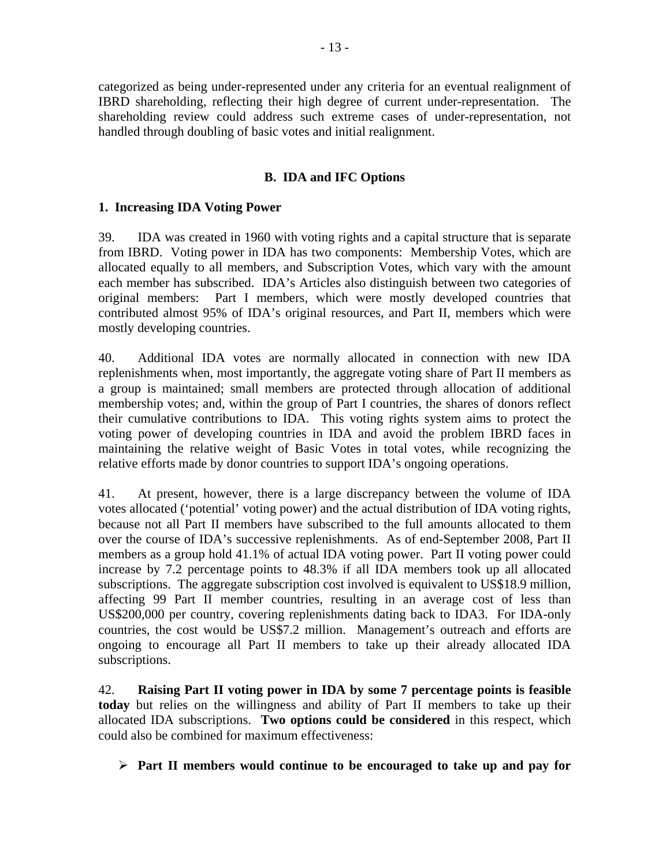categorized as being under-represented under any criteria for an eventual realignment of IBRD shareholding, reflecting their high degree of current under-representation. The shareholding review could address such extreme cases of under-representation, not handled through doubling of basic votes and initial realignment.

## **B. IDA and IFC Options**

## **1. Increasing IDA Voting Power**

39. IDA was created in 1960 with voting rights and a capital structure that is separate from IBRD. Voting power in IDA has two components: Membership Votes, which are allocated equally to all members, and Subscription Votes, which vary with the amount each member has subscribed. IDA's Articles also distinguish between two categories of original members: Part I members, which were mostly developed countries that contributed almost 95% of IDA's original resources, and Part II, members which were mostly developing countries.

40. Additional IDA votes are normally allocated in connection with new IDA replenishments when, most importantly, the aggregate voting share of Part II members as a group is maintained; small members are protected through allocation of additional membership votes; and, within the group of Part I countries, the shares of donors reflect their cumulative contributions to IDA. This voting rights system aims to protect the voting power of developing countries in IDA and avoid the problem IBRD faces in maintaining the relative weight of Basic Votes in total votes, while recognizing the relative efforts made by donor countries to support IDA's ongoing operations.

41. At present, however, there is a large discrepancy between the volume of IDA votes allocated ('potential' voting power) and the actual distribution of IDA voting rights, because not all Part II members have subscribed to the full amounts allocated to them over the course of IDA's successive replenishments. As of end-September 2008, Part II members as a group hold 41.1% of actual IDA voting power. Part II voting power could increase by 7.2 percentage points to 48.3% if all IDA members took up all allocated subscriptions. The aggregate subscription cost involved is equivalent to US\$18.9 million, affecting 99 Part II member countries, resulting in an average cost of less than US\$200,000 per country, covering replenishments dating back to IDA3. For IDA-only countries, the cost would be US\$7.2 million. Management's outreach and efforts are ongoing to encourage all Part II members to take up their already allocated IDA subscriptions.

42. **Raising Part II voting power in IDA by some 7 percentage points is feasible today** but relies on the willingness and ability of Part II members to take up their allocated IDA subscriptions. **Two options could be considered** in this respect, which could also be combined for maximum effectiveness:

¾ **Part II members would continue to be encouraged to take up and pay for**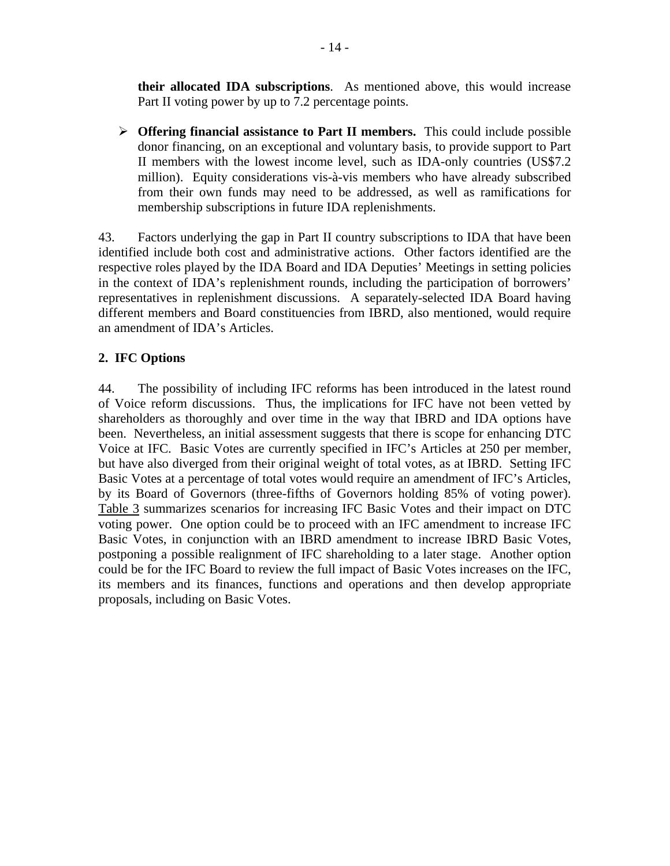**their allocated IDA subscriptions**. As mentioned above, this would increase Part II voting power by up to 7.2 percentage points.

¾ **Offering financial assistance to Part II members.** This could include possible donor financing, on an exceptional and voluntary basis, to provide support to Part II members with the lowest income level, such as IDA-only countries (US\$7.2 million). Equity considerations vis-à-vis members who have already subscribed from their own funds may need to be addressed, as well as ramifications for membership subscriptions in future IDA replenishments.

43. Factors underlying the gap in Part II country subscriptions to IDA that have been identified include both cost and administrative actions. Other factors identified are the respective roles played by the IDA Board and IDA Deputies' Meetings in setting policies in the context of IDA's replenishment rounds, including the participation of borrowers' representatives in replenishment discussions. A separately-selected IDA Board having different members and Board constituencies from IBRD, also mentioned, would require an amendment of IDA's Articles.

## **2. IFC Options**

44. The possibility of including IFC reforms has been introduced in the latest round of Voice reform discussions. Thus, the implications for IFC have not been vetted by shareholders as thoroughly and over time in the way that IBRD and IDA options have been. Nevertheless, an initial assessment suggests that there is scope for enhancing DTC Voice at IFC. Basic Votes are currently specified in IFC's Articles at 250 per member, but have also diverged from their original weight of total votes, as at IBRD. Setting IFC Basic Votes at a percentage of total votes would require an amendment of IFC's Articles, by its Board of Governors (three-fifths of Governors holding 85% of voting power). Table 3 summarizes scenarios for increasing IFC Basic Votes and their impact on DTC voting power. One option could be to proceed with an IFC amendment to increase IFC Basic Votes, in conjunction with an IBRD amendment to increase IBRD Basic Votes, postponing a possible realignment of IFC shareholding to a later stage. Another option could be for the IFC Board to review the full impact of Basic Votes increases on the IFC, its members and its finances, functions and operations and then develop appropriate proposals, including on Basic Votes.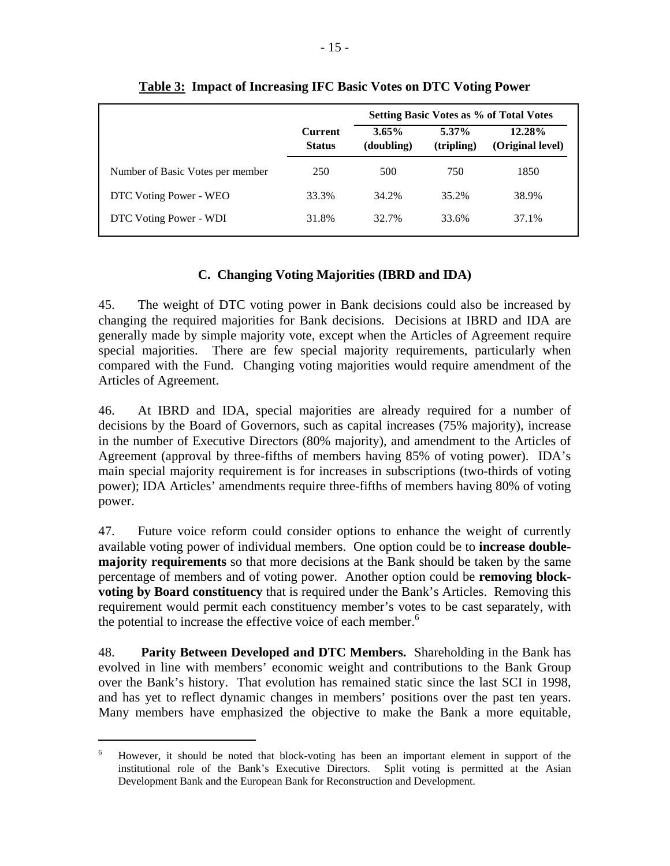|                                  |                                 | <b>Setting Basic Votes as % of Total Votes</b> |                        |                            |  |
|----------------------------------|---------------------------------|------------------------------------------------|------------------------|----------------------------|--|
|                                  | <b>Current</b><br><b>Status</b> | $3.65\%$<br>(doubling)                         | $5.37\%$<br>(tripling) | 12.28%<br>(Original level) |  |
| Number of Basic Votes per member | 250                             | 500                                            | 750                    | 1850                       |  |
| DTC Voting Power - WEO           | 33.3%                           | 34.2%                                          | 35.2%                  | 38.9%                      |  |
| DTC Voting Power - WDI           | 31.8%                           | 32.7%                                          | 33.6%                  | 37.1%                      |  |

#### **Table 3: Impact of Increasing IFC Basic Votes on DTC Voting Power**

## **C. Changing Voting Majorities (IBRD and IDA)**

45. The weight of DTC voting power in Bank decisions could also be increased by changing the required majorities for Bank decisions. Decisions at IBRD and IDA are generally made by simple majority vote, except when the Articles of Agreement require special majorities. There are few special majority requirements, particularly when compared with the Fund. Changing voting majorities would require amendment of the Articles of Agreement.

46. At IBRD and IDA, special majorities are already required for a number of decisions by the Board of Governors, such as capital increases (75% majority), increase in the number of Executive Directors (80% majority), and amendment to the Articles of Agreement (approval by three-fifths of members having 85% of voting power). IDA's main special majority requirement is for increases in subscriptions (two-thirds of voting power); IDA Articles' amendments require three-fifths of members having 80% of voting power.

47. Future voice reform could consider options to enhance the weight of currently available voting power of individual members. One option could be to **increase doublemajority requirements** so that more decisions at the Bank should be taken by the same percentage of members and of voting power. Another option could be **removing blockvoting by Board constituency** that is required under the Bank's Articles. Removing this requirement would permit each constituency member's votes to be cast separately, with the potential to increase the effective voice of each member.<sup>6</sup>

48. **Parity Between Developed and DTC Members.** Shareholding in the Bank has evolved in line with members' economic weight and contributions to the Bank Group over the Bank's history. That evolution has remained static since the last SCI in 1998, and has yet to reflect dynamic changes in members' positions over the past ten years. Many members have emphasized the objective to make the Bank a more equitable,

 $\overline{a}$ 

<sup>6</sup> However, it should be noted that block-voting has been an important element in support of the institutional role of the Bank's Executive Directors. Split voting is permitted at the Asian Development Bank and the European Bank for Reconstruction and Development.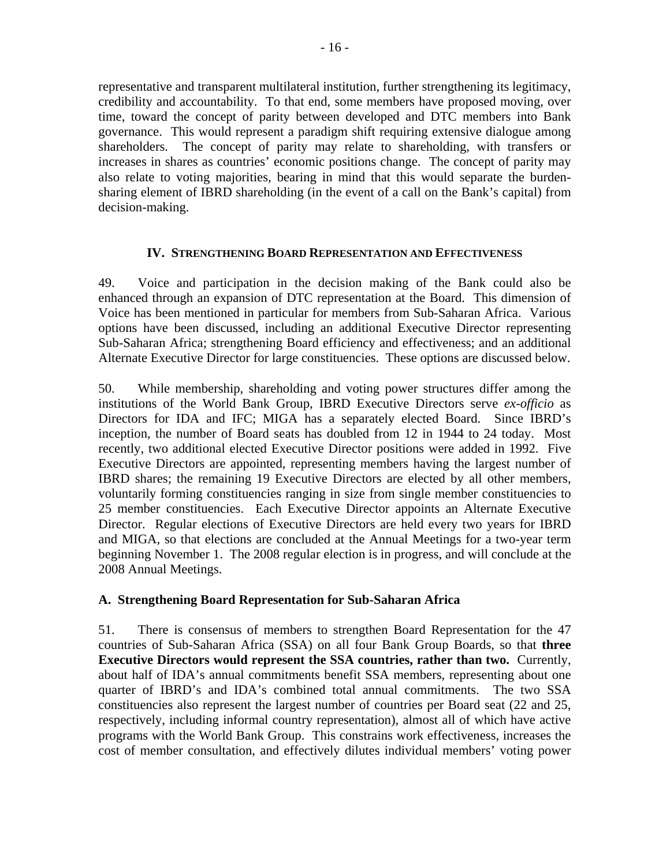representative and transparent multilateral institution, further strengthening its legitimacy, credibility and accountability. To that end, some members have proposed moving, over time, toward the concept of parity between developed and DTC members into Bank governance. This would represent a paradigm shift requiring extensive dialogue among shareholders. The concept of parity may relate to shareholding, with transfers or increases in shares as countries' economic positions change. The concept of parity may also relate to voting majorities, bearing in mind that this would separate the burdensharing element of IBRD shareholding (in the event of a call on the Bank's capital) from decision-making.

#### **IV. STRENGTHENING BOARD REPRESENTATION AND EFFECTIVENESS**

49. Voice and participation in the decision making of the Bank could also be enhanced through an expansion of DTC representation at the Board. This dimension of Voice has been mentioned in particular for members from Sub-Saharan Africa. Various options have been discussed, including an additional Executive Director representing Sub-Saharan Africa; strengthening Board efficiency and effectiveness; and an additional Alternate Executive Director for large constituencies. These options are discussed below.

50. While membership, shareholding and voting power structures differ among the institutions of the World Bank Group, IBRD Executive Directors serve *ex-officio* as Directors for IDA and IFC; MIGA has a separately elected Board. Since IBRD's inception, the number of Board seats has doubled from 12 in 1944 to 24 today. Most recently, two additional elected Executive Director positions were added in 1992. Five Executive Directors are appointed, representing members having the largest number of IBRD shares; the remaining 19 Executive Directors are elected by all other members, voluntarily forming constituencies ranging in size from single member constituencies to 25 member constituencies. Each Executive Director appoints an Alternate Executive Director. Regular elections of Executive Directors are held every two years for IBRD and MIGA, so that elections are concluded at the Annual Meetings for a two-year term beginning November 1. The 2008 regular election is in progress, and will conclude at the 2008 Annual Meetings.

## **A. Strengthening Board Representation for Sub-Saharan Africa**

51. There is consensus of members to strengthen Board Representation for the 47 countries of Sub-Saharan Africa (SSA) on all four Bank Group Boards, so that **three Executive Directors would represent the SSA countries, rather than two.** Currently, about half of IDA's annual commitments benefit SSA members, representing about one quarter of IBRD's and IDA's combined total annual commitments. The two SSA constituencies also represent the largest number of countries per Board seat (22 and 25, respectively, including informal country representation), almost all of which have active programs with the World Bank Group. This constrains work effectiveness, increases the cost of member consultation, and effectively dilutes individual members' voting power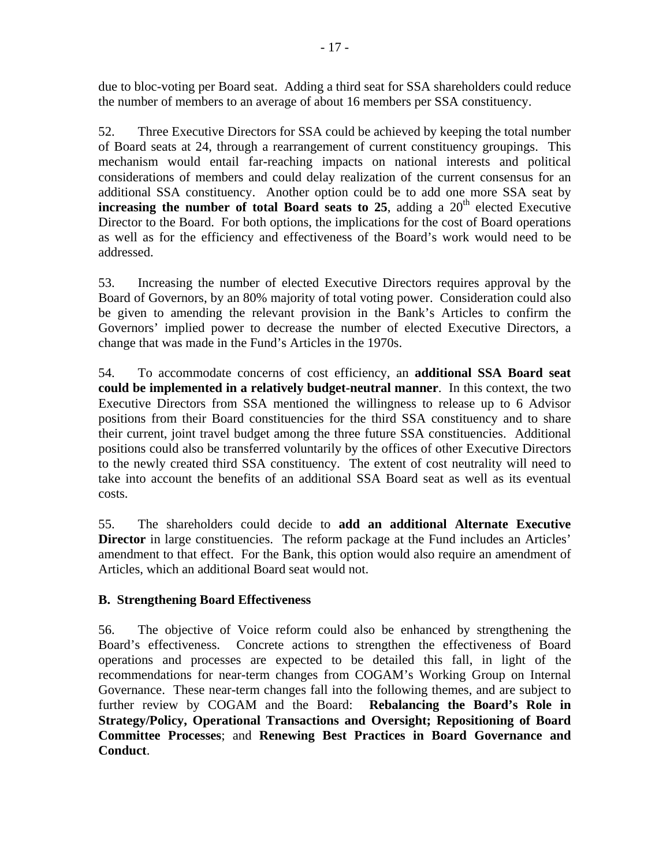due to bloc-voting per Board seat. Adding a third seat for SSA shareholders could reduce the number of members to an average of about 16 members per SSA constituency.

52. Three Executive Directors for SSA could be achieved by keeping the total number of Board seats at 24, through a rearrangement of current constituency groupings. This mechanism would entail far-reaching impacts on national interests and political considerations of members and could delay realization of the current consensus for an additional SSA constituency. Another option could be to add one more SSA seat by **increasing the number of total Board seats to 25**, adding a  $20<sup>th</sup>$  elected Executive Director to the Board. For both options, the implications for the cost of Board operations as well as for the efficiency and effectiveness of the Board's work would need to be addressed.

53. Increasing the number of elected Executive Directors requires approval by the Board of Governors, by an 80% majority of total voting power. Consideration could also be given to amending the relevant provision in the Bank's Articles to confirm the Governors' implied power to decrease the number of elected Executive Directors, a change that was made in the Fund's Articles in the 1970s.

54. To accommodate concerns of cost efficiency, an **additional SSA Board seat could be implemented in a relatively budget-neutral manner**. In this context, the two Executive Directors from SSA mentioned the willingness to release up to 6 Advisor positions from their Board constituencies for the third SSA constituency and to share their current, joint travel budget among the three future SSA constituencies. Additional positions could also be transferred voluntarily by the offices of other Executive Directors to the newly created third SSA constituency. The extent of cost neutrality will need to take into account the benefits of an additional SSA Board seat as well as its eventual costs.

55. The shareholders could decide to **add an additional Alternate Executive Director** in large constituencies. The reform package at the Fund includes an Articles' amendment to that effect. For the Bank, this option would also require an amendment of Articles, which an additional Board seat would not.

## **B. Strengthening Board Effectiveness**

56. The objective of Voice reform could also be enhanced by strengthening the Board's effectiveness. Concrete actions to strengthen the effectiveness of Board operations and processes are expected to be detailed this fall, in light of the recommendations for near-term changes from COGAM's Working Group on Internal Governance. These near-term changes fall into the following themes, and are subject to further review by COGAM and the Board: **Rebalancing the Board's Role in Strategy/Policy, Operational Transactions and Oversight; Repositioning of Board Committee Processes**; and **Renewing Best Practices in Board Governance and Conduct**.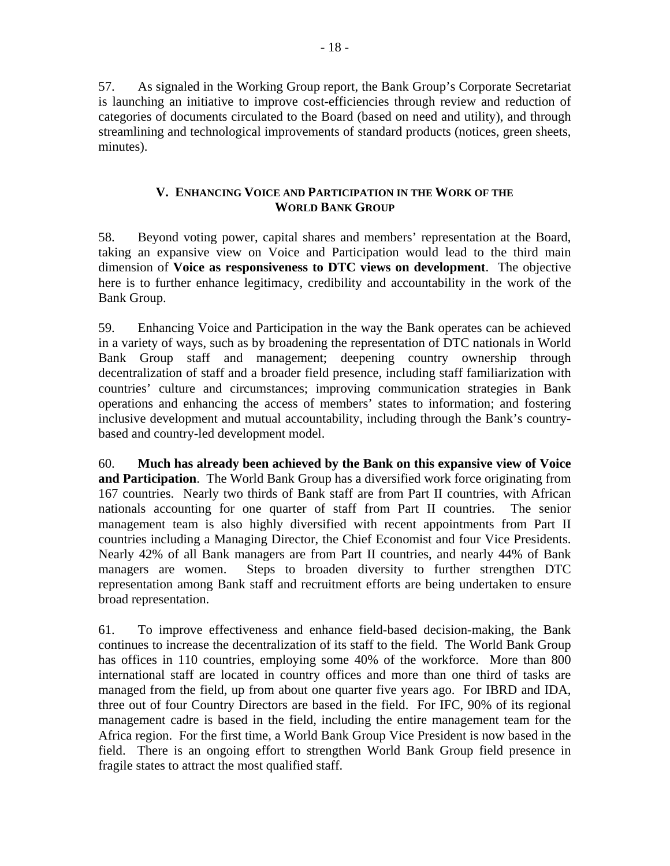57. As signaled in the Working Group report, the Bank Group's Corporate Secretariat is launching an initiative to improve cost-efficiencies through review and reduction of categories of documents circulated to the Board (based on need and utility), and through streamlining and technological improvements of standard products (notices, green sheets, minutes).

#### **V. ENHANCING VOICE AND PARTICIPATION IN THE WORK OF THE WORLD BANK GROUP**

58. Beyond voting power, capital shares and members' representation at the Board, taking an expansive view on Voice and Participation would lead to the third main dimension of **Voice as responsiveness to DTC views on development**. The objective here is to further enhance legitimacy, credibility and accountability in the work of the Bank Group.

59. Enhancing Voice and Participation in the way the Bank operates can be achieved in a variety of ways, such as by broadening the representation of DTC nationals in World Bank Group staff and management; deepening country ownership through decentralization of staff and a broader field presence, including staff familiarization with countries' culture and circumstances; improving communication strategies in Bank operations and enhancing the access of members' states to information; and fostering inclusive development and mutual accountability, including through the Bank's countrybased and country-led development model.

60. **Much has already been achieved by the Bank on this expansive view of Voice and Participation**. The World Bank Group has a diversified work force originating from 167 countries. Nearly two thirds of Bank staff are from Part II countries, with African nationals accounting for one quarter of staff from Part II countries. The senior management team is also highly diversified with recent appointments from Part II countries including a Managing Director, the Chief Economist and four Vice Presidents. Nearly 42% of all Bank managers are from Part II countries, and nearly 44% of Bank managers are women. Steps to broaden diversity to further strengthen DTC representation among Bank staff and recruitment efforts are being undertaken to ensure broad representation.

61. To improve effectiveness and enhance field-based decision-making, the Bank continues to increase the decentralization of its staff to the field. The World Bank Group has offices in 110 countries, employing some 40% of the workforce. More than 800 international staff are located in country offices and more than one third of tasks are managed from the field, up from about one quarter five years ago. For IBRD and IDA, three out of four Country Directors are based in the field. For IFC, 90% of its regional management cadre is based in the field, including the entire management team for the Africa region. For the first time, a World Bank Group Vice President is now based in the field. There is an ongoing effort to strengthen World Bank Group field presence in fragile states to attract the most qualified staff.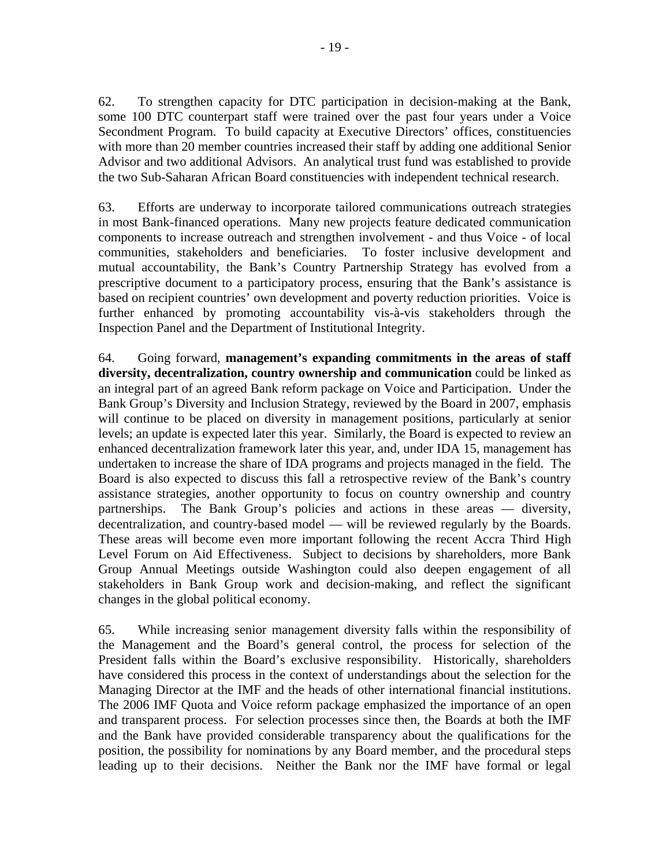62. To strengthen capacity for DTC participation in decision-making at the Bank, some 100 DTC counterpart staff were trained over the past four years under a Voice Secondment Program. To build capacity at Executive Directors' offices, constituencies with more than 20 member countries increased their staff by adding one additional Senior Advisor and two additional Advisors. An analytical trust fund was established to provide the two Sub-Saharan African Board constituencies with independent technical research.

63. Efforts are underway to incorporate tailored communications outreach strategies in most Bank-financed operations. Many new projects feature dedicated communication components to increase outreach and strengthen involvement - and thus Voice - of local communities, stakeholders and beneficiaries. To foster inclusive development and mutual accountability, the Bank's Country Partnership Strategy has evolved from a prescriptive document to a participatory process, ensuring that the Bank's assistance is based on recipient countries' own development and poverty reduction priorities. Voice is further enhanced by promoting accountability vis-à-vis stakeholders through the Inspection Panel and the Department of Institutional Integrity.

64. Going forward, **management's expanding commitments in the areas of staff diversity, decentralization, country ownership and communication** could be linked as an integral part of an agreed Bank reform package on Voice and Participation. Under the Bank Group's Diversity and Inclusion Strategy, reviewed by the Board in 2007, emphasis will continue to be placed on diversity in management positions, particularly at senior levels; an update is expected later this year. Similarly, the Board is expected to review an enhanced decentralization framework later this year, and, under IDA 15, management has undertaken to increase the share of IDA programs and projects managed in the field. The Board is also expected to discuss this fall a retrospective review of the Bank's country assistance strategies, another opportunity to focus on country ownership and country partnerships. The Bank Group's policies and actions in these areas — diversity, decentralization, and country-based model — will be reviewed regularly by the Boards. These areas will become even more important following the recent Accra Third High Level Forum on Aid Effectiveness. Subject to decisions by shareholders, more Bank Group Annual Meetings outside Washington could also deepen engagement of all stakeholders in Bank Group work and decision-making, and reflect the significant changes in the global political economy.

65. While increasing senior management diversity falls within the responsibility of the Management and the Board's general control, the process for selection of the President falls within the Board's exclusive responsibility. Historically, shareholders have considered this process in the context of understandings about the selection for the Managing Director at the IMF and the heads of other international financial institutions. The 2006 IMF Quota and Voice reform package emphasized the importance of an open and transparent process. For selection processes since then, the Boards at both the IMF and the Bank have provided considerable transparency about the qualifications for the position, the possibility for nominations by any Board member, and the procedural steps leading up to their decisions. Neither the Bank nor the IMF have formal or legal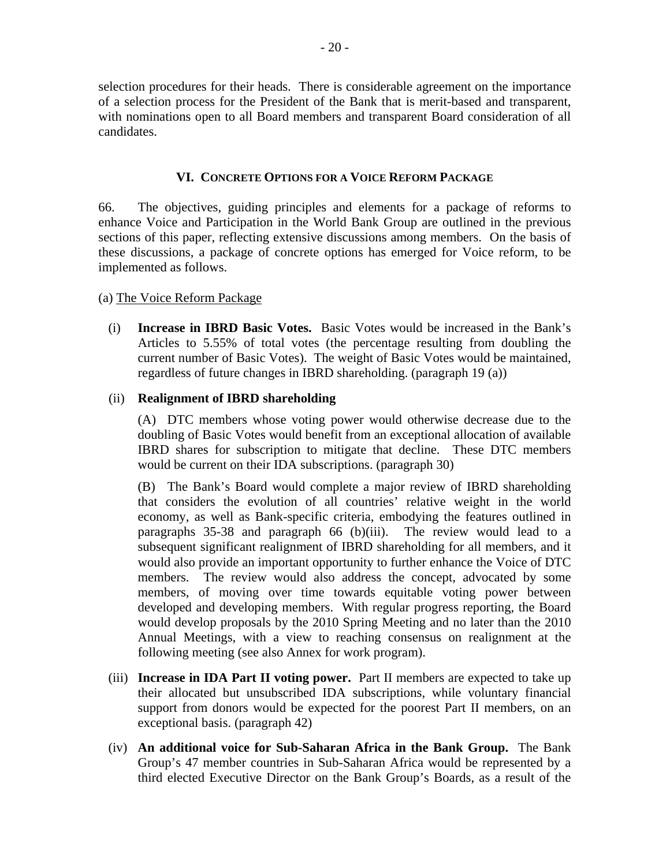selection procedures for their heads. There is considerable agreement on the importance of a selection process for the President of the Bank that is merit-based and transparent, with nominations open to all Board members and transparent Board consideration of all candidates.

#### **VI. CONCRETE OPTIONS FOR A VOICE REFORM PACKAGE**

66. The objectives, guiding principles and elements for a package of reforms to enhance Voice and Participation in the World Bank Group are outlined in the previous sections of this paper, reflecting extensive discussions among members. On the basis of these discussions, a package of concrete options has emerged for Voice reform, to be implemented as follows.

#### (a) The Voice Reform Package

(i) **Increase in IBRD Basic Votes.** Basic Votes would be increased in the Bank's Articles to 5.55% of total votes (the percentage resulting from doubling the current number of Basic Votes). The weight of Basic Votes would be maintained, regardless of future changes in IBRD shareholding. (paragraph 19 (a))

#### (ii) **Realignment of IBRD shareholding**

(A) DTC members whose voting power would otherwise decrease due to the doubling of Basic Votes would benefit from an exceptional allocation of available IBRD shares for subscription to mitigate that decline. These DTC members would be current on their IDA subscriptions. (paragraph 30)

(B) The Bank's Board would complete a major review of IBRD shareholding that considers the evolution of all countries' relative weight in the world economy, as well as Bank-specific criteria, embodying the features outlined in paragraphs 35-38 and paragraph 66 (b)(iii). The review would lead to a subsequent significant realignment of IBRD shareholding for all members, and it would also provide an important opportunity to further enhance the Voice of DTC members. The review would also address the concept, advocated by some members, of moving over time towards equitable voting power between developed and developing members. With regular progress reporting, the Board would develop proposals by the 2010 Spring Meeting and no later than the 2010 Annual Meetings, with a view to reaching consensus on realignment at the following meeting (see also Annex for work program).

- (iii) **Increase in IDA Part II voting power.** Part II members are expected to take up their allocated but unsubscribed IDA subscriptions, while voluntary financial support from donors would be expected for the poorest Part II members, on an exceptional basis. (paragraph 42)
- (iv) **An additional voice for Sub-Saharan Africa in the Bank Group.** The Bank Group's 47 member countries in Sub-Saharan Africa would be represented by a third elected Executive Director on the Bank Group's Boards, as a result of the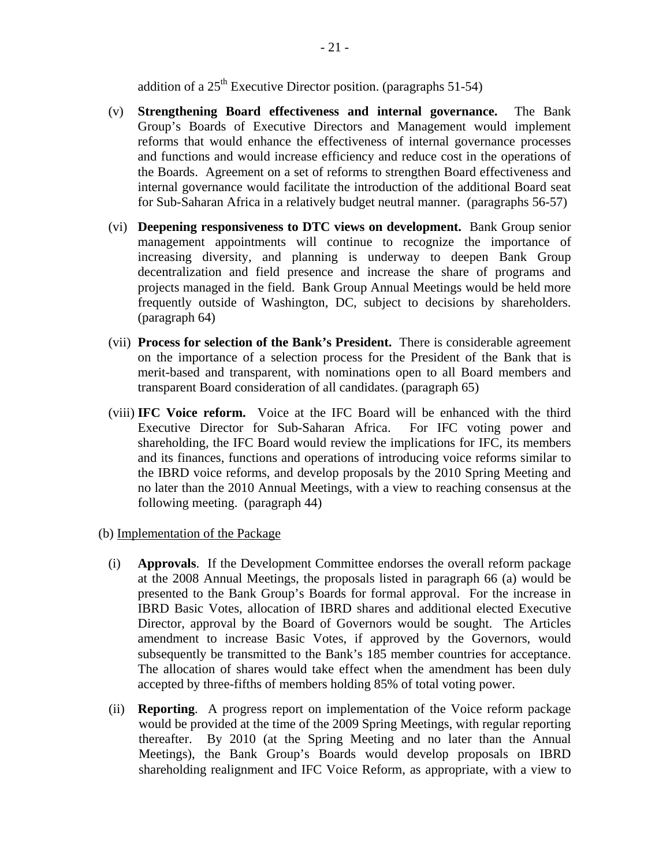addition of a 25th Executive Director position. (paragraphs 51-54)

- (v) **Strengthening Board effectiveness and internal governance.** The Bank Group's Boards of Executive Directors and Management would implement reforms that would enhance the effectiveness of internal governance processes and functions and would increase efficiency and reduce cost in the operations of the Boards. Agreement on a set of reforms to strengthen Board effectiveness and internal governance would facilitate the introduction of the additional Board seat for Sub-Saharan Africa in a relatively budget neutral manner. (paragraphs 56-57)
- (vi) **Deepening responsiveness to DTC views on development.** Bank Group senior management appointments will continue to recognize the importance of increasing diversity, and planning is underway to deepen Bank Group decentralization and field presence and increase the share of programs and projects managed in the field. Bank Group Annual Meetings would be held more frequently outside of Washington, DC, subject to decisions by shareholders. (paragraph 64)
- (vii) **Process for selection of the Bank's President.** There is considerable agreement on the importance of a selection process for the President of the Bank that is merit-based and transparent, with nominations open to all Board members and transparent Board consideration of all candidates. (paragraph 65)
- (viii) **IFC Voice reform.** Voice at the IFC Board will be enhanced with the third Executive Director for Sub-Saharan Africa. For IFC voting power and shareholding, the IFC Board would review the implications for IFC, its members and its finances, functions and operations of introducing voice reforms similar to the IBRD voice reforms, and develop proposals by the 2010 Spring Meeting and no later than the 2010 Annual Meetings, with a view to reaching consensus at the following meeting. (paragraph 44)
- (b) Implementation of the Package
	- (i) **Approvals**. If the Development Committee endorses the overall reform package at the 2008 Annual Meetings, the proposals listed in paragraph 66 (a) would be presented to the Bank Group's Boards for formal approval. For the increase in IBRD Basic Votes, allocation of IBRD shares and additional elected Executive Director, approval by the Board of Governors would be sought. The Articles amendment to increase Basic Votes, if approved by the Governors, would subsequently be transmitted to the Bank's 185 member countries for acceptance. The allocation of shares would take effect when the amendment has been duly accepted by three-fifths of members holding 85% of total voting power.
	- (ii) **Reporting**. A progress report on implementation of the Voice reform package would be provided at the time of the 2009 Spring Meetings, with regular reporting thereafter. By 2010 (at the Spring Meeting and no later than the Annual Meetings), the Bank Group's Boards would develop proposals on IBRD shareholding realignment and IFC Voice Reform, as appropriate, with a view to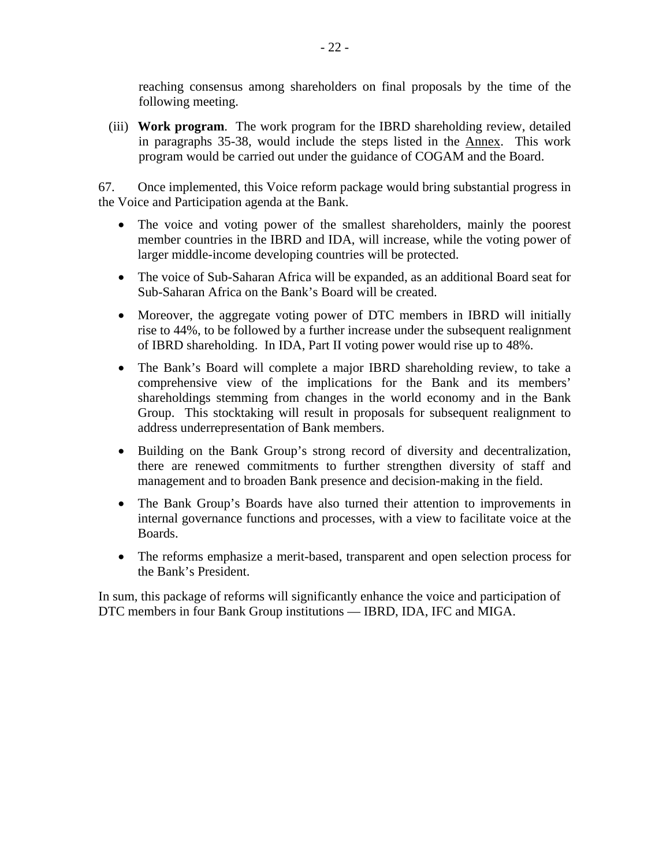reaching consensus among shareholders on final proposals by the time of the following meeting.

(iii) **Work program**. The work program for the IBRD shareholding review, detailed in paragraphs 35-38, would include the steps listed in the Annex. This work program would be carried out under the guidance of COGAM and the Board.

67. Once implemented, this Voice reform package would bring substantial progress in the Voice and Participation agenda at the Bank.

- The voice and voting power of the smallest shareholders, mainly the poorest member countries in the IBRD and IDA, will increase, while the voting power of larger middle-income developing countries will be protected.
- The voice of Sub-Saharan Africa will be expanded, as an additional Board seat for Sub-Saharan Africa on the Bank's Board will be created.
- Moreover, the aggregate voting power of DTC members in IBRD will initially rise to 44%, to be followed by a further increase under the subsequent realignment of IBRD shareholding. In IDA, Part II voting power would rise up to 48%.
- The Bank's Board will complete a major IBRD shareholding review, to take a comprehensive view of the implications for the Bank and its members' shareholdings stemming from changes in the world economy and in the Bank Group. This stocktaking will result in proposals for subsequent realignment to address underrepresentation of Bank members.
- Building on the Bank Group's strong record of diversity and decentralization, there are renewed commitments to further strengthen diversity of staff and management and to broaden Bank presence and decision-making in the field.
- The Bank Group's Boards have also turned their attention to improvements in internal governance functions and processes, with a view to facilitate voice at the Boards.
- The reforms emphasize a merit-based, transparent and open selection process for the Bank's President.

In sum, this package of reforms will significantly enhance the voice and participation of DTC members in four Bank Group institutions — IBRD, IDA, IFC and MIGA.